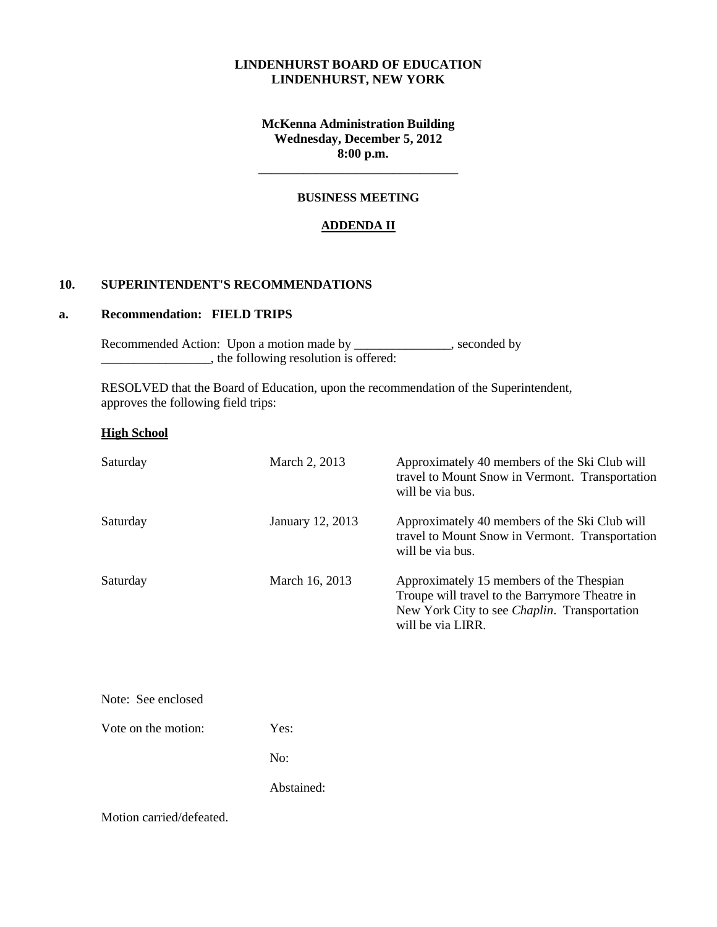# **LINDENHURST BOARD OF EDUCATION LINDENHURST, NEW YORK**

**McKenna Administration Building Wednesday, December 5, 2012 8:00 p.m.**

**\_\_\_\_\_\_\_\_\_\_\_\_\_\_\_\_\_\_\_\_\_\_\_\_\_\_\_\_\_\_\_**

### **BUSINESS MEETING**

#### **ADDENDA II**

### **10. SUPERINTENDENT'S RECOMMENDATIONS**

# **a. Recommendation: FIELD TRIPS**

Recommended Action: Upon a motion made by \_\_\_\_\_\_\_\_\_\_\_\_\_, seconded by  $\frac{1}{\sqrt{1-\frac{1}{\sqrt{1-\frac{1}{\sqrt{1-\frac{1}{\sqrt{1-\frac{1}{\sqrt{1-\frac{1}{\sqrt{1-\frac{1}{\sqrt{1-\frac{1}{\sqrt{1-\frac{1}{\sqrt{1-\frac{1}{\sqrt{1-\frac{1}{\sqrt{1-\frac{1}{\sqrt{1-\frac{1}{\sqrt{1-\frac{1}{\sqrt{1-\frac{1}{\sqrt{1-\frac{1}{\sqrt{1-\frac{1}{\sqrt{1-\frac{1}{\sqrt{1-\frac{1}{\sqrt{1-\frac{1}{\sqrt{1-\frac{1}{\sqrt{1-\frac{1}{\sqrt{1-\frac{1}{\sqrt{1-\frac{1}{\sqrt{1-\frac{1}{$ 

 RESOLVED that the Board of Education, upon the recommendation of the Superintendent, approves the following field trips:

#### **High School**

| Saturday            | March 2, 2013    | Approximately 40 members of the Ski Club will<br>travel to Mount Snow in Vermont. Transportation<br>will be via bus.                                                    |
|---------------------|------------------|-------------------------------------------------------------------------------------------------------------------------------------------------------------------------|
| Saturday            | January 12, 2013 | Approximately 40 members of the Ski Club will<br>travel to Mount Snow in Vermont. Transportation<br>will be via bus.                                                    |
| Saturday            | March 16, 2013   | Approximately 15 members of the Thespian<br>Troupe will travel to the Barrymore Theatre in<br>New York City to see <i>Chaplin</i> . Transportation<br>will be via LIRR. |
| Note: See enclosed  |                  |                                                                                                                                                                         |
| Vote on the motion: | Yes:             |                                                                                                                                                                         |
|                     | No:              |                                                                                                                                                                         |

Abstained:

Motion carried/defeated.